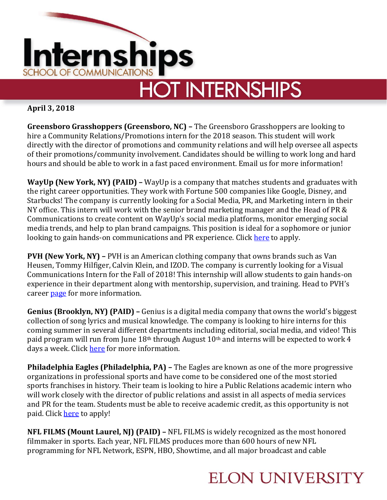

# **HOT INTERNSHIPS**

**April 3, 2018**

**Greensboro Grasshoppers (Greensboro, NC) –** The Greensboro Grasshoppers are looking to hire a Community Relations/Promotions intern for the 2018 season. This student will work directly with the director of promotions and community relations and will help oversee all aspects of their promotions/community involvement. Candidates should be willing to work long and hard hours and should be able to work in a fast paced environment. Email us for more information!

**WayUp (New York, NY) (PAID) –** WayUp is a company that matches students and graduates with the right career opportunities. They work with Fortune 500 companies like Google, Disney, and Starbucks! The company is currently looking for a Social Media, PR, and Marketing intern in their NY office. This intern will work with the senior brand marketing manager and the Head of PR & Communications to create content on WayUp's social media platforms, monitor emerging social media trends, and help to plan brand campaigns. This position is ideal for a sophomore or junior looking to gain hands-on communications and PR experience. Click [here](https://www.wayup.com/i-Internet-j-PR-Marketing-Intern-in-NYC-12-hr-WayUp-368053425410684/) to apply.

**PVH (New York, NY) –** PVH is an American clothing company that owns brands such as Van Heusen, Tommy Hilfiger, Calvin Klein, and IZOD. The company is currently looking for a Visual Communications Intern for the Fall of 2018! This internship will allow students to gain hands-on experience in their department along with mentorship, supervision, and training. Head to PVH's career [page](https://www.pvh.com/people/work-with-us) for more information.

**Genius (Brooklyn, NY) (PAID) –** Genius is a digital media company that owns the world's biggest collection of song lyrics and musical knowledge. The company is looking to hire interns for this coming summer in several different departments including editorial, social media, and video! This paid program will run from June 18<sup>th</sup> through August 10<sup>th</sup> and interns will be expected to work 4 days a week. Click [here](https://genius.com/Genius-jobs-at-genius-annotated) for more information.

**Philadelphia Eagles (Philadelphia, PA) –** The Eagles are known as one of the more progressive organizations in professional sports and have come to be considered one of the most storied sports franchises in history. Their team is looking to hire a Public Relations academic intern who will work closely with the director of public relations and assist in all aspects of media services and PR for the team. Students must be able to receive academic credit, as this opportunity is not paid. Clic[k here](https://www.linkedin.com/jobs/view/579131152/) to apply!

**NFL FILMS (Mount Laurel, NJ) (PAID) –** NFL FILMS is widely recognized as the most honored filmmaker in sports. Each year, NFL FILMS produces more than 600 hours of new NFL programming for NFL Network, ESPN, HBO, Showtime, and all major broadcast and cable

## **ELON UNIVERSITY**